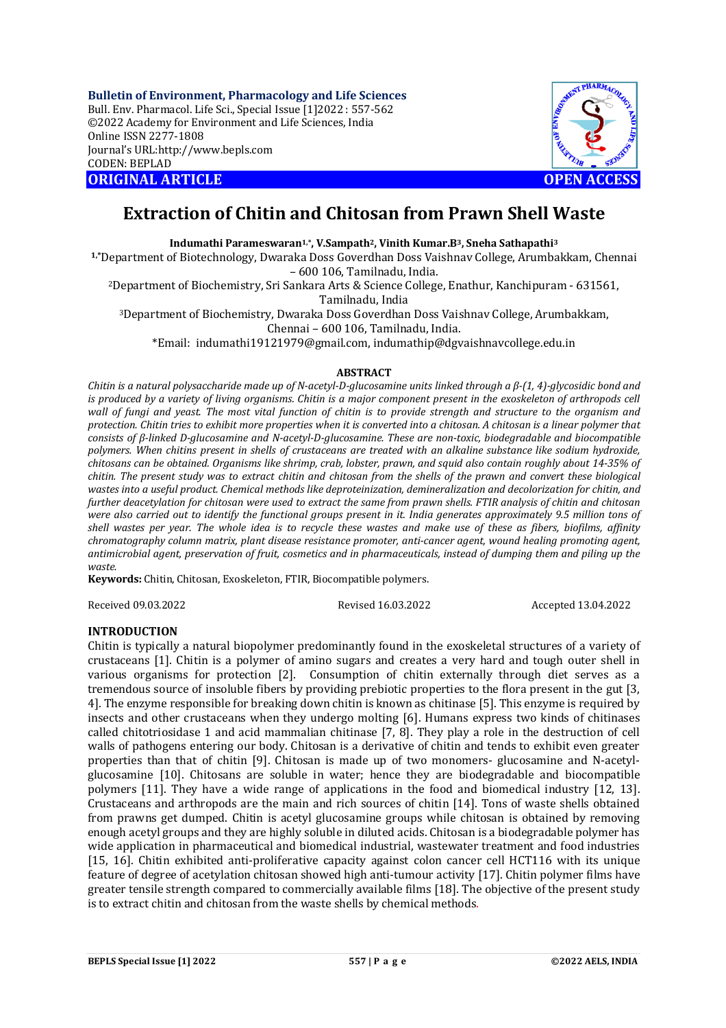**Bulletin of Environment, Pharmacology and Life Sciences** Bull. Env. Pharmacol. Life Sci., Special Issue [1]2022 : 557-562 ©2022 Academy for Environment and Life Sciences, India Online ISSN 2277-1808 Journal's URL:<http://www.bepls.com> CODEN: BEPLAD **ORIGINAL ARTICLE OPEN ACCESS** 



# **Extraction of Chitin and Chitosan from Prawn Shell Waste**

**Indumathi Parameswaran1,\*, V.Sampath2, Vinith Kumar.B3, Sneha Sathapathi<sup>3</sup>**

**1,\***Department of Biotechnology, Dwaraka Doss Goverdhan Doss Vaishnav College, Arumbakkam, Chennai – 600 106, Tamilnadu, India.

<sup>2</sup>Department of Biochemistry, Sri Sankara Arts & Science College, Enathur, Kanchipuram - 631561, Tamilnadu, India

<sup>3</sup>Department of Biochemistry, Dwaraka Doss Goverdhan Doss Vaishnav College, Arumbakkam,

Chennai – 600 106, Tamilnadu, India.

\*Email: [indumathi19121979@gmail.com,](mailto:indumathi19121979@gmail.com,) [indumathip@dgvaishnavcollege.edu.in](mailto:indumathip@dgvaishnavcollege.edu.in)

### **ABSTRACT**

*Chitin is a natural polysaccharide made up of N-acetyl-D-glucosamine units linked through a β-(1, 4)-glycosidic bond and is produced by a variety of living organisms. Chitin is a major component present in the exoskeleton of arthropods cell wall of fungi and yeast. The most vital function of chitin is to provide strength and structure to the organism and protection. Chitin tries to exhibit more properties when it is converted into a chitosan. A chitosan is a linear polymer that consists of β-linked D-glucosamine and N-acetyl-D-glucosamine. These are non-toxic, biodegradable and biocompatible polymers. When chitins present in shells of crustaceans are treated with an alkaline substance like sodium hydroxide, chitosans can be obtained. Organisms like shrimp, crab, lobster, prawn, and squid also contain roughly about 14-35% of chitin. The present study was to extract chitin and chitosan from the shells of the prawn and convert these biological wastes into a useful product. Chemical methods like deproteinization, demineralization and decolorization for chitin, and further deacetylation for chitosan were used to extract the same from prawn shells. FTIR analysis of chitin and chitosan were also carried out to identify the functional groups present in it. India generates approximately 9.5 million tons of shell wastes per year. The whole idea is to recycle these wastes and make use of these as fibers, biofilms, affinity chromatography column matrix, plant disease resistance promoter, anti-cancer agent, wound healing promoting agent, antimicrobial agent, preservation of fruit, cosmetics and in pharmaceuticals, instead of dumping them and piling up the waste.*

**Keywords:** Chitin, Chitosan, Exoskeleton, FTIR, Biocompatible polymers.

Received 09.03.2022 Revised 16.03.2022 Accepted 13.04.2022

### **INTRODUCTION**

Chitin is typically a natural biopolymer predominantly found in the exoskeletal structures of a variety of crustaceans [1]. Chitin is a polymer of amino sugars and creates a very hard and tough outer shell in various organisms for protection [2]. Consumption of chitin externally through diet serves as a tremendous source of insoluble fibers by providing prebiotic properties to the flora present in the gut [3, 4]. The enzyme responsible for breaking down chitin is known as chitinase [5]. This enzyme is required by insects and other crustaceans when they undergo molting [6]. Humans express two kinds of chitinases called chitotriosidase 1 and acid mammalian chitinase [7, 8]. They play a role in the destruction of cell walls of pathogens entering our body. Chitosan is a derivative of chitin and tends to exhibit even greater properties than that of chitin [9]. Chitosan is made up of two monomers- glucosamine and N-acetylglucosamine [10]. Chitosans are soluble in water; hence they are biodegradable and biocompatible polymers [11]. They have a wide range of applications in the food and biomedical industry [12, 13]. Crustaceans and arthropods are the main and rich sources of chitin [14]. Tons of waste shells obtained from prawns get dumped. Chitin is acetyl glucosamine groups while chitosan is obtained by removing enough acetyl groups and they are highly soluble in diluted acids. Chitosan is a biodegradable polymer has wide application in pharmaceutical and biomedical industrial, wastewater treatment and food industries [15, 16]. Chitin exhibited anti-proliferative capacity against colon cancer cell HCT116 with its unique feature of degree of acetylation chitosan showed high anti-tumour activity [17]. Chitin polymer films have greater tensile strength compared to commercially available films [18]. The objective of the present study is to extract chitin and chitosan from the waste shells by chemical methods.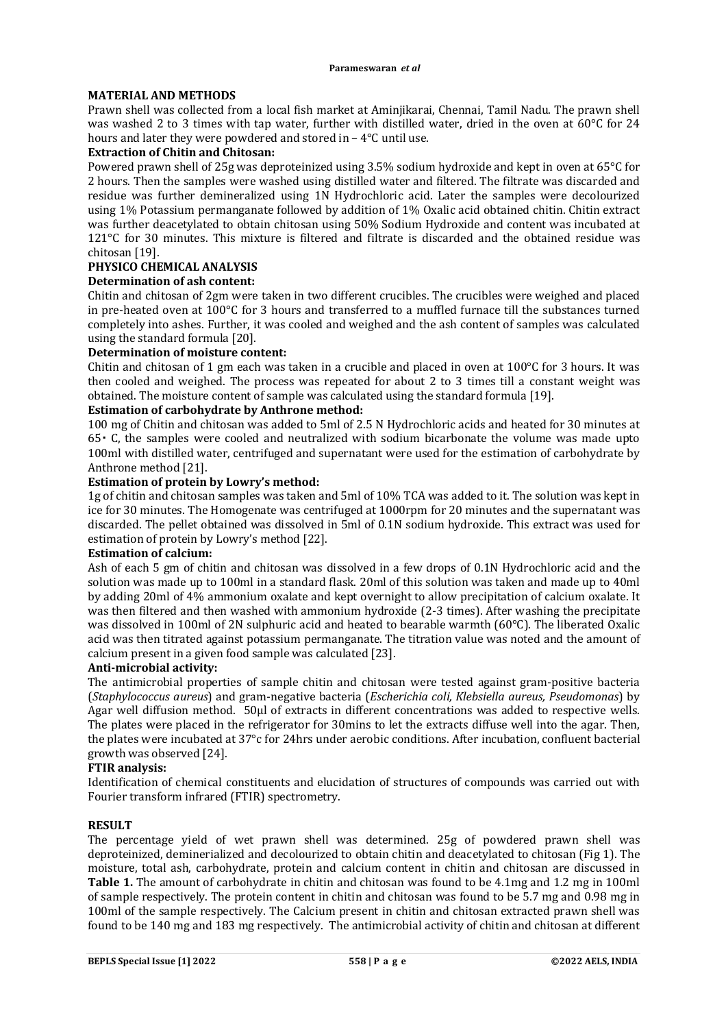### **MATERIAL AND METHODS**

Prawn shell was collected from a local fish market at Aminjikarai, Chennai, Tamil Nadu. The prawn shell was washed 2 to 3 times with tap water, further with distilled water, dried in the oven at 60°C for 24 hours and later they were powdered and stored in – 4°C until use.

### **Extraction of Chitin and Chitosan:**

Powered prawn shell of 25g was deproteinized using 3.5% sodium hydroxide and kept in oven at 65°C for 2 hours. Then the samples were washed using distilled water and filtered. The filtrate was discarded and residue was further demineralized using 1N Hydrochloric acid. Later the samples were decolourized using 1% Potassium permanganate followed by addition of 1% Oxalic acid obtained chitin. Chitin extract was further deacetylated to obtain chitosan using 50% Sodium Hydroxide and content was incubated at 121°C for 30 minutes. This mixture is filtered and filtrate is discarded and the obtained residue was chitosan [19].

### **PHYSICO CHEMICAL ANALYSIS**

### **Determination of ash content:**

Chitin and chitosan of 2gm were taken in two different crucibles. The crucibles were weighed and placed in pre-heated oven at 100°C for 3 hours and transferred to a muffled furnace till the substances turned completely into ashes. Further, it was cooled and weighed and the ash content of samples was calculated using the standard formula [20].

### **Determination of moisture content:**

Chitin and chitosan of 1 gm each was taken in a crucible and placed in oven at 100°C for 3 hours. It was then cooled and weighed. The process was repeated for about 2 to 3 times till a constant weight was obtained. The moisture content of sample was calculated using the standard formula [19].

### **Estimation of carbohydrate by Anthrone method:**

100 mg of Chitin and chitosan was added to 5ml of 2.5 N Hydrochloric acids and heated for 30 minutes at  $65 \cdot$  C, the samples were cooled and neutralized with sodium bicarbonate the volume was made upto 100ml with distilled water, centrifuged and supernatant were used for the estimation of carbohydrate by Anthrone method [21].

### **Estimation of protein by Lowry's method:**

1g of chitin and chitosan samples was taken and 5ml of 10% TCA was added to it. The solution was kept in ice for 30 minutes. The Homogenate was centrifuged at 1000rpm for 20 minutes and the supernatant was discarded. The pellet obtained was dissolved in 5ml of 0.1N sodium hydroxide. This extract was used for estimation of protein by Lowry's method [22].

### **Estimation of calcium:**

Ash of each 5 gm of chitin and chitosan was dissolved in a few drops of 0.1N Hydrochloric acid and the solution was made up to 100ml in a standard flask. 20ml of this solution was taken and made up to 40ml by adding 20ml of 4% ammonium oxalate and kept overnight to allow precipitation of calcium oxalate. It was then filtered and then washed with ammonium hydroxide (2-3 times). After washing the precipitate was dissolved in 100ml of 2N sulphuric acid and heated to bearable warmth (60°C). The liberated Oxalic acid was then titrated against potassium permanganate. The titration value was noted and the amount of calcium present in a given food sample was calculated [23].

### **Anti-microbial activity:**

The antimicrobial properties of sample chitin and chitosan were tested against gram-positive bacteria (*Staphylococcus aureus*) and gram-negative bacteria (*Escherichia coli, Klebsiella aureus, Pseudomonas*) by Agar well diffusion method. 50μl of extracts in different concentrations was added to respective wells. The plates were placed in the refrigerator for 30mins to let the extracts diffuse well into the agar. Then, the plates were incubated at 37°c for 24hrs under aerobic conditions. After incubation, confluent bacterial growth was observed [24].

### **FTIR analysis:**

Identification of chemical constituents and elucidation of structures of compounds was carried out with Fourier transform infrared (FTIR) spectrometry.

### **RESULT**

The percentage yield of wet prawn shell was determined. 25g of powdered prawn shell was deproteinized, deminerialized and decolourized to obtain chitin and deacetylated to chitosan (Fig 1). The moisture, total ash, carbohydrate, protein and calcium content in chitin and chitosan are discussed in **Table 1.** The amount of carbohydrate in chitin and chitosan was found to be 4.1mg and 1.2 mg in 100ml of sample respectively. The protein content in chitin and chitosan was found to be 5.7 mg and 0.98 mg in 100ml of the sample respectively. The Calcium present in chitin and chitosan extracted prawn shell was found to be 140 mg and 183 mg respectively. The antimicrobial activity of chitin and chitosan at different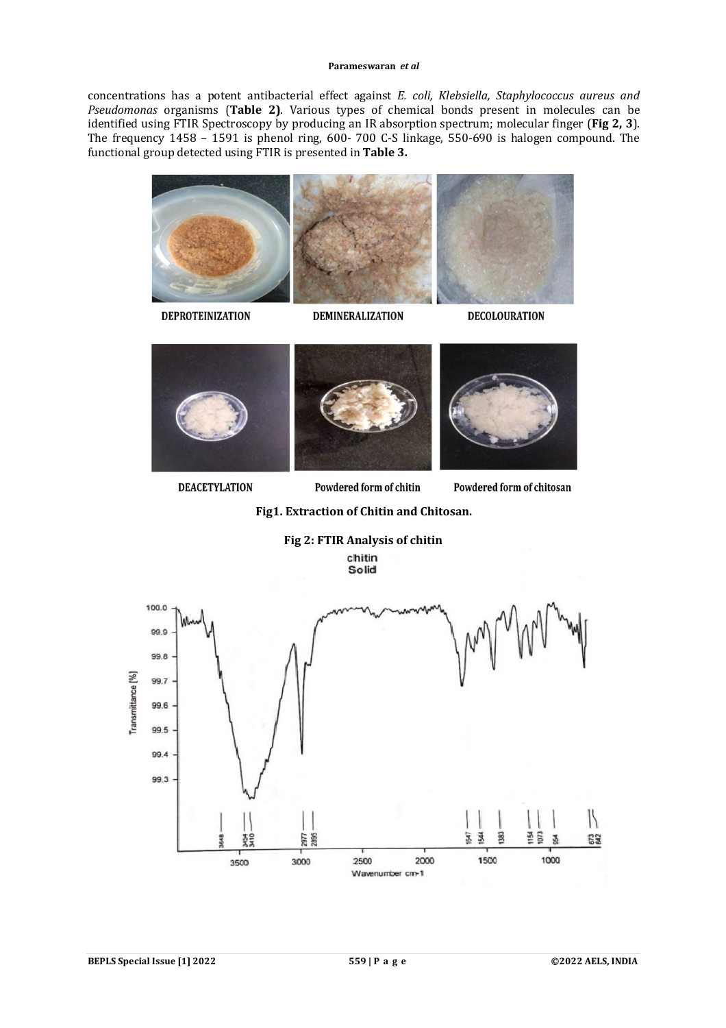#### **Parameswaran** *et al*

concentrations has a potent antibacterial effect against *E. coli, Klebsiella, Staphylococcus aureus and Pseudomonas* organisms (**Table 2)**. Various types of chemical bonds present in molecules can be identified using FTIR Spectroscopy by producing an IR absorption spectrum; molecular finger (**Fig 2, 3**). The frequency 1458 – 1591 is phenol ring, 600- 700 C-S linkage, 550-690 is halogen compound. The functional group detected using FTIR is presented in **Table 3.** 

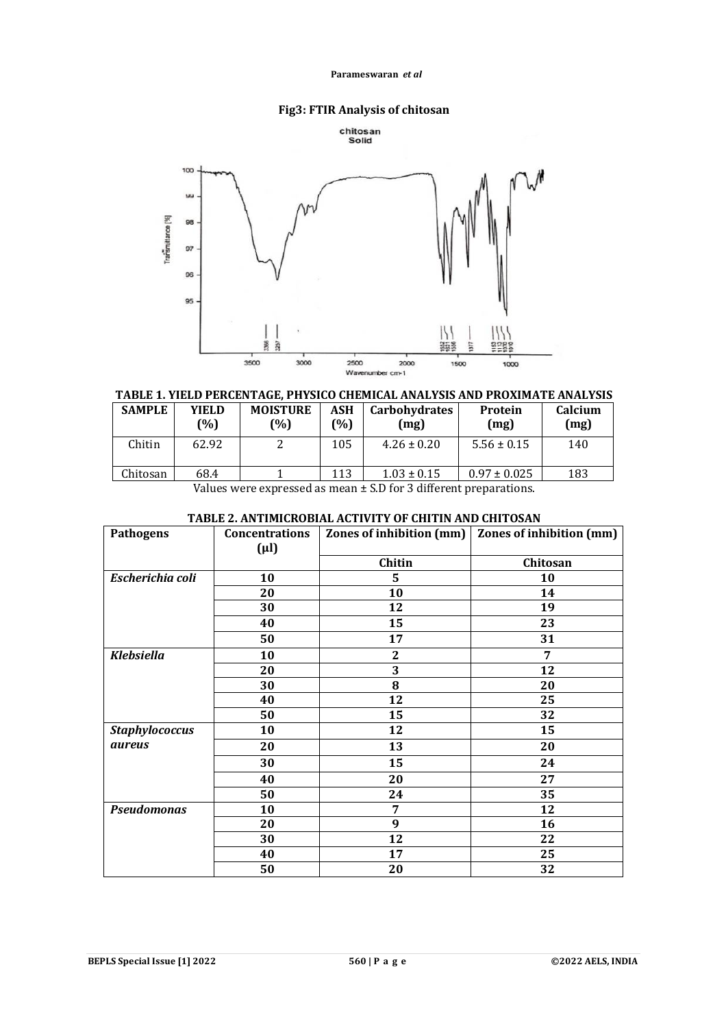### **Parameswaran** *et al*

# **Fig3: FTIR Analysis of chitosan**





# **TABLE 1. YIELD PERCENTAGE, PHYSICO CHEMICAL ANALYSIS AND PROXIMATE ANALYSIS**

| <b>SAMPLE</b> | YIELD<br>(%) | <b>MOISTURE</b><br>(%) | ASH<br>(%) | <b>Carbohydrates</b><br>(mg) | Protein<br>(mg)  | Calcium<br>(mg) |
|---------------|--------------|------------------------|------------|------------------------------|------------------|-----------------|
| Chitin        | 62.92        |                        | 105        | $4.26 \pm 0.20$              | $5.56 \pm 0.15$  | 140             |
| Chitosan      | 68.4         |                        | 113        | $1.03 \pm 0.15$              | $0.97 \pm 0.025$ | 183             |

Values were expressed as mean ± S.D for 3 different preparations.

| <b>Pathogens</b>      | <b>Concentrations</b> | Zones of inhibition (mm) | Zones of inhibition (mm) |
|-----------------------|-----------------------|--------------------------|--------------------------|
|                       | $(\mu l)$             |                          |                          |
|                       |                       | Chitin                   | Chitosan                 |
| Escherichia coli      | 10                    | 5                        | 10                       |
|                       | 20                    | 10                       | 14                       |
|                       | 30                    | 12                       | 19                       |
|                       | 40                    | 15                       | 23                       |
|                       | 50                    | 17                       | 31                       |
| <b>Klebsiella</b>     | 10                    | $\mathbf{2}$             | 7                        |
|                       | 20                    | 3                        | 12                       |
|                       | 30                    | 8                        | 20                       |
|                       | 40                    | 12                       | 25                       |
|                       | 50                    | 15                       | 32                       |
| <b>Staphylococcus</b> | 10                    | 12                       | 15                       |
| <i><b>aureus</b></i>  | 20                    | 13                       | 20                       |
|                       | 30                    | 15                       | 24                       |
|                       | 40                    | 20                       | 27                       |
|                       | 50                    | 24                       | 35                       |
| <b>Pseudomonas</b>    | 10                    | 7                        | 12                       |
|                       | 20                    | 9                        | 16                       |
|                       | 30                    | 12                       | 22                       |
|                       | 40                    | 17                       | 25                       |
|                       | 50                    | 20                       | 32                       |

# **TABLE 2. ANTIMICROBIAL ACTIVITY OF CHITIN AND CHITOSAN**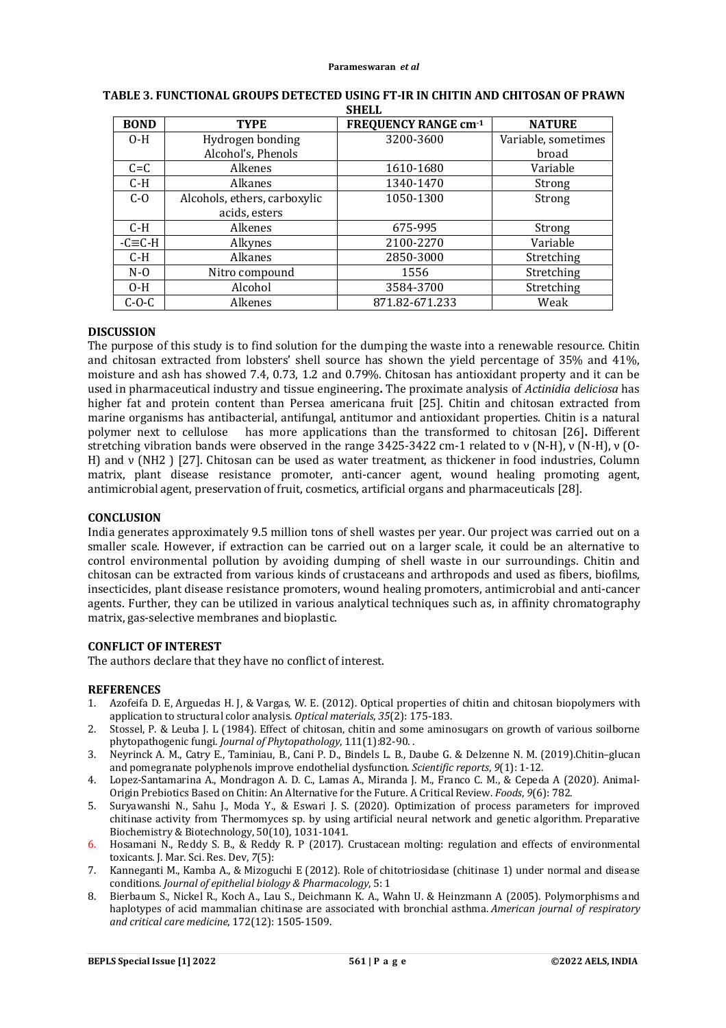| <b>BOND</b> | <b>TYPE</b>                  | <b>FREQUENCY RANGE cm-1</b> | <b>NATURE</b>       |
|-------------|------------------------------|-----------------------------|---------------------|
| $O-H$       | Hydrogen bonding             | 3200-3600                   | Variable, sometimes |
|             | Alcohol's, Phenols           |                             | broad               |
| $C = C$     | Alkenes                      | 1610-1680                   | Variable            |
| $C-H$       | Alkanes                      | 1340-1470                   | Strong              |
| $C-O$       | Alcohols, ethers, carboxylic | 1050-1300                   | Strong              |
|             | acids, esters                |                             |                     |
| $C-H$       | <b>Alkenes</b>               | 675-995                     | Strong              |
| $-C=CH$     | Alkynes                      | 2100-2270                   | Variable            |
| $C-H$       | Alkanes                      | 2850-3000                   | Stretching          |
| $N-0$       | Nitro compound               | 1556                        | Stretching          |
| $O-H$       | Alcohol                      | 3584-3700                   | Stretching          |
| $C-O-C$     | Alkenes                      | 871.82-671.233              | Weak                |

### **TABLE 3. FUNCTIONAL GROUPS DETECTED USING FT-IR IN CHITIN AND CHITOSAN OF PRAWN SHELL**

### **DISCUSSION**

The purpose of this study is to find solution for the dumping the waste into a renewable resource. Chitin and chitosan extracted from lobsters' shell source has shown the yield percentage of 35% and 41%, moisture and ash has showed 7.4, 0.73, 1.2 and 0.79%. Chitosan has antioxidant property and it can be used in pharmaceutical industry and tissue engineering**.** The proximate analysis of *Actinidia deliciosa* has higher fat and protein content than Persea americana fruit [25]. Chitin and chitosan extracted from marine organisms has antibacterial, antifungal, antitumor and antioxidant properties. Chitin is a natural polymer next to cellulose has more applications than the transformed to chitosan [26]**.** Different stretching vibration bands were observed in the range 3425-3422 cm-1 related to ν (N-H), ν (N-H), ν (O-H) and ν (NH2 ) [27]. Chitosan can be used as water treatment, as thickener in food industries, Column matrix, plant disease resistance promoter, anti-cancer agent, wound healing promoting agent, antimicrobial agent, preservation of fruit, cosmetics, artificial organs and pharmaceuticals [28].

### **CONCLUSION**

India generates approximately 9.5 million tons of shell wastes per year. Our project was carried out on a smaller scale. However, if extraction can be carried out on a larger scale, it could be an alternative to control environmental pollution by avoiding dumping of shell waste in our surroundings. Chitin and chitosan can be extracted from various kinds of crustaceans and arthropods and used as fibers, biofilms, insecticides, plant disease resistance promoters, wound healing promoters, antimicrobial and anti-cancer agents. Further, they can be utilized in various analytical techniques such as, in affinity chromatography matrix, gas-selective membranes and bioplastic.

### **CONFLICT OF INTEREST**

The authors declare that they have no conflict of interest.

### **REFERENCES**

- 1. Azofeifa D. E, Arguedas H. J, & Vargas, W. E. (2012). Optical properties of chitin and chitosan biopolymers with application to structural color analysis. *Optical materials*, *35*(2): 175-183.
- 2. Stossel, P. & Leuba J. L (1984). Effect of chitosan, chitin and some aminosugars on growth of various soilborne phytopathogenic fungi. *Journal of Phytopathology*, 111(1):82-90. .
- 3. Neyrinck A. M., Catry E., Taminiau, B., Cani P. D., Bindels L. B., Daube G. & Delzenne N. M. (2019).Chitin–glucan and pomegranate polyphenols improve endothelial dysfunction. *Scientific reports*, *9*(1): 1-12.
- 4. Lopez-Santamarina A., Mondragon A. D. C., Lamas A., Miranda J. M., Franco C. M., & Cepeda A (2020). Animal-Origin Prebiotics Based on Chitin: An Alternative for the Future. A Critical Review. *Foods*, *9*(6): 782.
- 5. Suryawanshi N., Sahu J., Moda Y., & Eswari J. S. (2020). Optimization of process parameters for improved chitinase activity from Thermomyces sp. by using artificial neural network and genetic algorithm. Preparative Biochemistry & Biotechnology, 50(10), 1031-1041.
- 6. Hosamani N., Reddy S. B., & Reddy R. P (2017). Crustacean molting: regulation and effects of environmental toxicants. J. Mar. Sci. Res. Dev, *7*(5):
- 7. Kanneganti M., Kamba A., & Mizoguchi E (2012). Role of chitotriosidase (chitinase 1) under normal and disease conditions. *Journal of epithelial biology & Pharmacology*, 5: 1
- 8. Bierbaum S., Nickel R., Koch A., Lau S., Deichmann K. A., Wahn U. & Heinzmann A (2005). Polymorphisms and haplotypes of acid mammalian chitinase are associated with bronchial asthma. *American journal of respiratory and critical care medicine*, 172(12): 1505-1509.